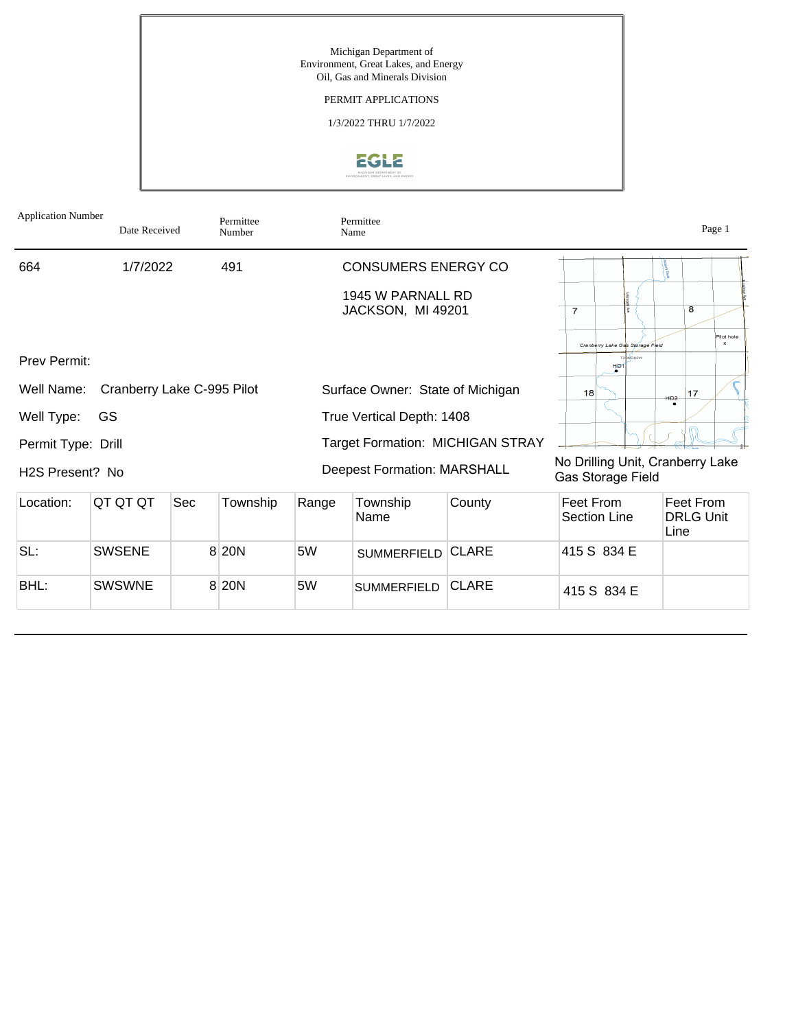

| <b>Application Number</b>    | Date Received              |     | Permittee<br>Number |                                         | Permittee<br>Name                      |              |                                                       |                                  |        |                                       | Page 1                     |
|------------------------------|----------------------------|-----|---------------------|-----------------------------------------|----------------------------------------|--------------|-------------------------------------------------------|----------------------------------|--------|---------------------------------------|----------------------------|
| 664                          | 1/7/2022                   |     | 491                 |                                         | <b>CONSUMERS ENERGY CO</b>             |              |                                                       |                                  |        |                                       |                            |
|                              |                            |     |                     |                                         | 1945 W PARNALL RD<br>JACKSON, MI 49201 |              | $\overline{7}$                                        |                                  |        | 8                                     |                            |
|                              |                            |     |                     |                                         |                                        |              |                                                       | Cranberry Lake Gas Storage Field |        |                                       | Pilot hole<br>$\mathbf{x}$ |
| Prev Permit:                 |                            |     |                     |                                         |                                        |              |                                                       | H <sub>D1</sub>                  |        |                                       |                            |
| Well Name:                   | Cranberry Lake C-995 Pilot |     |                     |                                         | Surface Owner: State of Michigan       |              | 18                                                    |                                  | $HD2-$ | 17                                    |                            |
| Well Type:                   | GS                         |     |                     | True Vertical Depth: 1408               |                                        |              |                                                       |                                  |        |                                       |                            |
| Permit Type: Drill           |                            |     |                     | <b>Target Formation: MICHIGAN STRAY</b> |                                        |              |                                                       |                                  |        |                                       |                            |
| H <sub>2</sub> S Present? No |                            |     |                     |                                         | <b>Deepest Formation: MARSHALL</b>     |              | No Drilling Unit, Cranberry Lake<br>Gas Storage Field |                                  |        |                                       |                            |
| Location:                    | QT QT QT                   | Sec | Township            | Range                                   | Township<br>Name                       | County       | Feet From                                             | <b>Section Line</b>              |        | Feet From<br><b>DRLG Unit</b><br>Line |                            |
| SL:                          | <b>SWSENE</b>              |     | 8 20 N              | 5W                                      | <b>SUMMERFIELD</b>                     | <b>CLARE</b> |                                                       | 415 S 834 E                      |        |                                       |                            |
| BHL:                         | <b>SWSWNE</b>              |     | 8 20 N              | 5W                                      | <b>SUMMERFIELD</b>                     | <b>CLARE</b> |                                                       | 415 S 834 E                      |        |                                       |                            |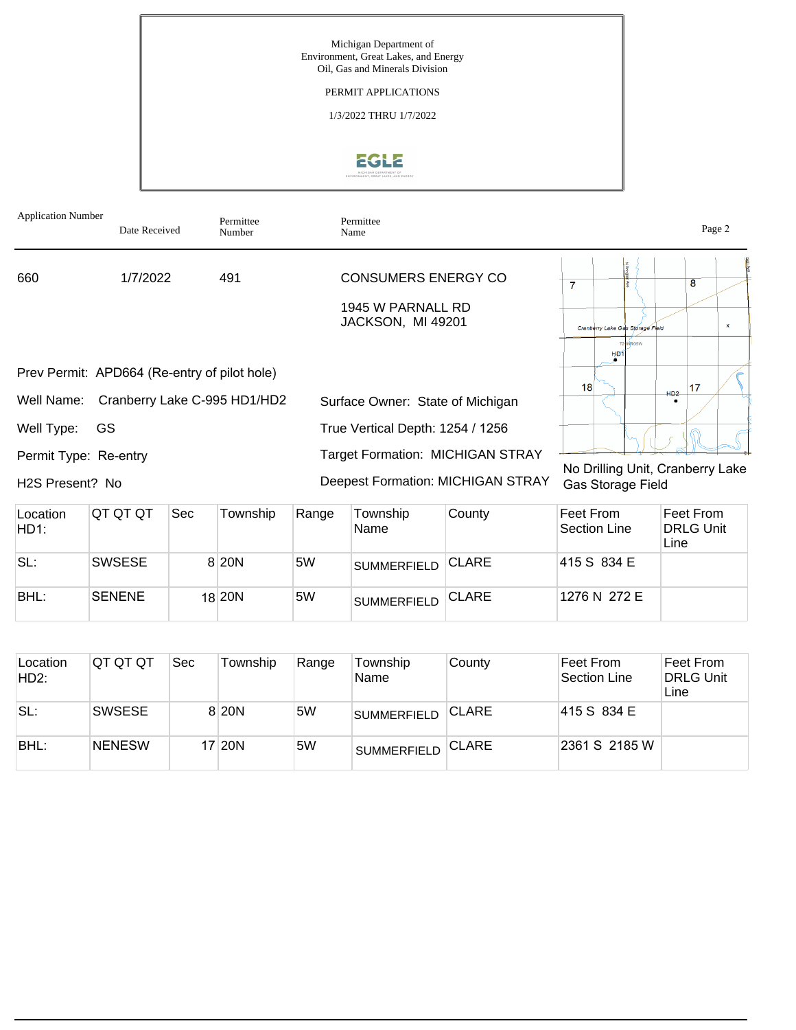

| <b>Application Number</b>                    | Date Received                | Permittee<br>Number | Permittee<br>Name                       |                                  | Page 2       |
|----------------------------------------------|------------------------------|---------------------|-----------------------------------------|----------------------------------|--------------|
| 660                                          | 1/7/2022                     | 491                 | CONSUMERS ENERGY CO                     | 7                                | 8            |
|                                              |                              |                     | 1945 W PARNALL RD<br>JACKSON, MI 49201  | Cranberry Lake Gas Storage Field | $\mathbf{x}$ |
| Prev Permit: APD664 (Re-entry of pilot hole) |                              |                     |                                         | ONROSW<br>H <sub>D</sub>         |              |
|                                              |                              |                     |                                         | 18                               | 17           |
| Well Name:                                   | Cranberry Lake C-995 HD1/HD2 |                     | Surface Owner: State of Michigan        | HD2                              |              |
| <b>GS</b><br>Well Type:                      |                              |                     | True Vertical Depth: 1254 / 1256        |                                  |              |
| Permit Type: Re-entry                        |                              |                     | <b>Target Formation: MICHIGAN STRAY</b> |                                  |              |

H2S Present? No

Deepest Formation: MICHIGAN STRAY

No Drilling Unit, Cranberry Lake Gas Storage Field

| Location<br>HD1: | IQT QT QT     | Sec | Township           | Range | Township<br>Name   | County       | ∣Feet From l<br>Section Line | Feet From<br><b>DRLG Unit</b><br>Line |
|------------------|---------------|-----|--------------------|-------|--------------------|--------------|------------------------------|---------------------------------------|
| SL:              | <b>SWSESE</b> |     | 8 20 N             | 5W    | <b>SUMMERFIELD</b> | <b>CLARE</b> | 415 S 834 E                  |                                       |
| BHL:             | <b>SENENE</b> |     | 18 <sub>20</sub> N | 5W    | <b>SUMMERFIELD</b> | <b>CLARE</b> | 1276 N 272 E                 |                                       |

| Location<br>HD2: | IQT QT QT     | <b>Sec</b> | Township | Range | Township<br>Name   | County       | Feet From<br>Section Line | Feet From<br><b>DRLG Unit</b><br>Line |
|------------------|---------------|------------|----------|-------|--------------------|--------------|---------------------------|---------------------------------------|
| SL:              | <b>SWSESE</b> |            | 8 20N    | 5W    | <b>SUMMERFIELD</b> | <b>CLARE</b> | 415 S 834 E               |                                       |
| BHL:             | <b>NENESW</b> |            | 17 20N   | 5W    | <b>SUMMERFIELD</b> | <b>CLARE</b> | 2361 S 2185 W             |                                       |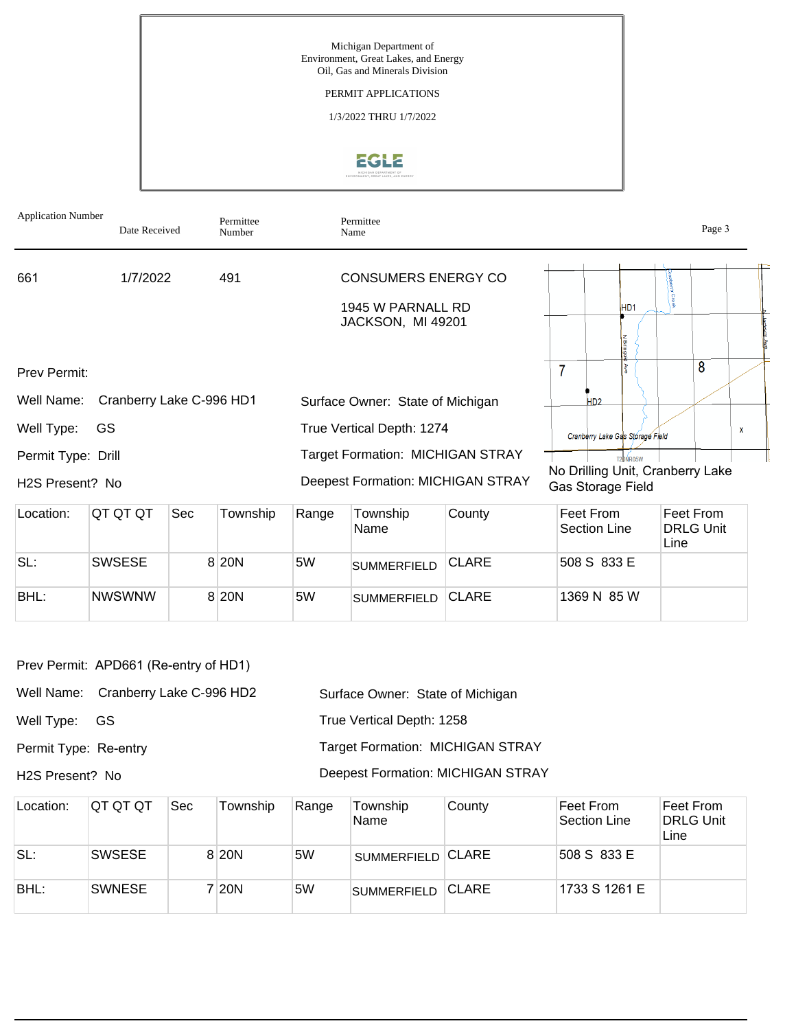Michigan Department of Environment, Great Lakes, and Energy Oil, Gas and Minerals Division PERMIT APPLICATIONS

1/3/2022 THRU 1/7/2022

# **EGLE**

| <b>Application Number</b> | Date Received            |     | Permittee<br>Number |       | Permittee<br>Name                                                    |        |                           |                                                       |       | Page 3                        |   |
|---------------------------|--------------------------|-----|---------------------|-------|----------------------------------------------------------------------|--------|---------------------------|-------------------------------------------------------|-------|-------------------------------|---|
| 661                       | 1/7/2022                 |     | 491                 |       | <b>CONSUMERS ENERGY CO</b><br>1945 W PARNALL RD<br>JACKSON, MI 49201 |        |                           | HD <sub>1</sub>                                       |       |                               |   |
| Prev Permit:              |                          |     |                     |       |                                                                      |        |                           |                                                       |       | 8                             |   |
| Well Name:                | Cranberry Lake C-996 HD1 |     |                     |       | Surface Owner: State of Michigan                                     |        | H <sub>D2</sub>           |                                                       |       |                               |   |
| Well Type:                | GS.                      |     |                     |       | True Vertical Depth: 1274                                            |        |                           | Cranberry Lake Gas Storage Field                      |       |                               | X |
| Permit Type: Drill        |                          |     |                     |       | <b>Target Formation: MICHIGAN STRAY</b>                              |        |                           | T20NR05W                                              |       |                               |   |
| H2S Present? No           |                          |     |                     |       | <b>Deepest Formation: MICHIGAN STRAY</b>                             |        |                           | No Drilling Unit, Cranberry Lake<br>Gas Storage Field |       |                               |   |
| Location:                 | <b>QT QT QT</b>          | Sec | Township            | Range | Township<br>Name                                                     | County | Feet From<br>Section Line |                                                       | l ino | Feet From<br><b>DRLG Unit</b> |   |

|      |               |        |    | Name               |              | Section Line | DRLG Unit<br>Line |
|------|---------------|--------|----|--------------------|--------------|--------------|-------------------|
| SL:  | <b>SWSESE</b> | 8 20 N | 5W | <b>SUMMERFIELD</b> | <b>CLARE</b> | 508 S 833 E  |                   |
| BHL: | <b>NWSWNW</b> | 8 20 N | 5W | <b>SUMMERFIELD</b> | <b>CLARE</b> | 1369 N 85 W  |                   |

Well Name: Cranberry Lake C-996 HD2

Well Type: GS

Permit Type: Re-entry

H2S Present? No

Surface Owner: State of Michigan True Vertical Depth: 1258 Target Formation: MICHIGAN STRAY

# Deepest Formation: MICHIGAN STRAY

| Location: | ∣QT QT QT     | <b>Sec</b> | Township | Range | Township<br>Name   | County        | ∣Feet From l<br>Section Line | Feet From<br><b>DRLG Unit</b><br>Line |
|-----------|---------------|------------|----------|-------|--------------------|---------------|------------------------------|---------------------------------------|
| SL:       | <b>SWSESE</b> |            | 8 20 N   | 5W    | SUMMERFIELD CLARE  |               | 508 S 833 E                  |                                       |
| BHL:      | <b>SWNESE</b> |            | 20N      | 5W    | <b>SUMMERFIELD</b> | <b>ICLARE</b> | 1733 S 1261 E                |                                       |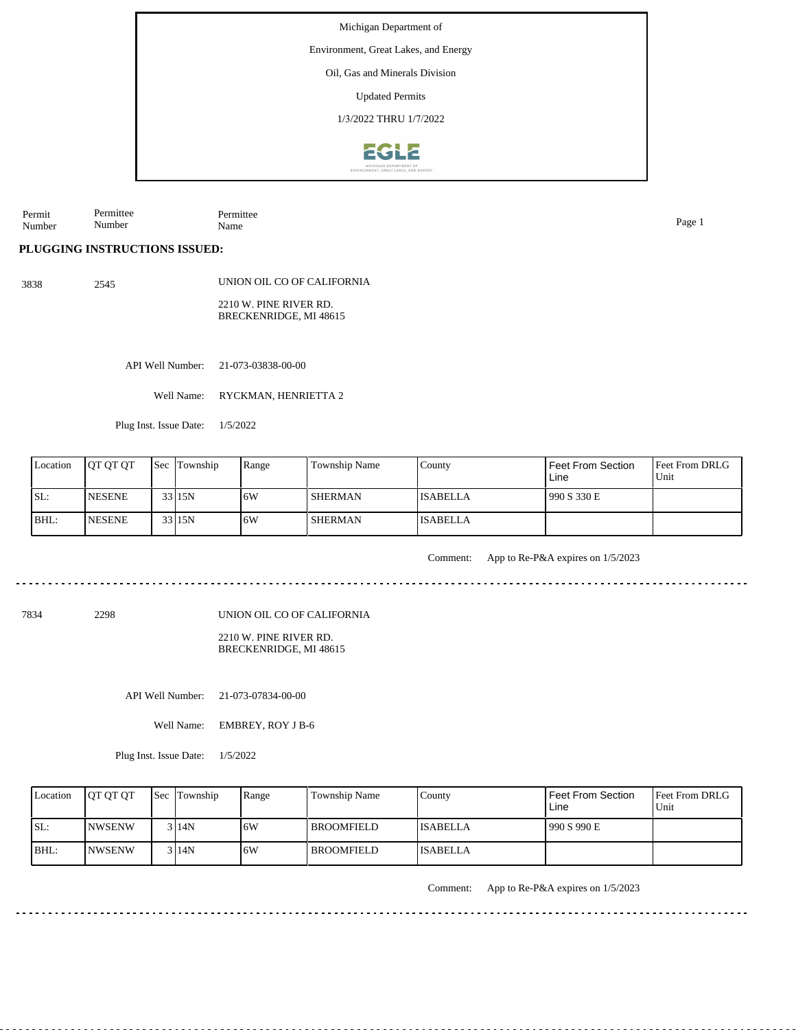Environment, Great Lakes, and Energy

### Oil, Gas and Minerals Division

Updated Permits

1/3/2022 THRU 1/7/2022



Permit Number Permittee Number Permittee Name Page 1

**PLUGGING INSTRUCTIONS ISSUED:**

3838 2545 UNION OIL CO OF CALIFORNIA 2210 W. PINE RIVER RD. BRECKENRIDGE, MI 48615

API Well Number: 21-073-03838-00-00

Well Name: RYCKMAN, HENRIETTA 2

Plug Inst. Issue Date: 1/5/2022

| Location | <b>OT OT OT</b> | <b>Sec Township</b> | Range | Township Name  | County          | Feet From Section<br>Line | <b>Feet From DRLG</b><br>Unit |
|----------|-----------------|---------------------|-------|----------------|-----------------|---------------------------|-------------------------------|
| SL:      | <b>NESENE</b>   | 33 15N              | 16W   | <b>SHERMAN</b> | <b>ISABELLA</b> | 990 S 330 E               |                               |
| BHL:     | <b>NESENE</b>   | 33 15N              | ۱6W   | <b>SHERMAN</b> | <b>ISABELLA</b> |                           |                               |

Comment: App to Re-P&A expires on 1/5/2023

7834 2298

UNION OIL CO OF CALIFORNIA

2210 W. PINE RIVER RD. BRECKENRIDGE, MI 48615

API Well Number: 21-073-07834-00-00

Well Name: EMBREY, ROY J B-6

Plug Inst. Issue Date: 1/5/2022

| Location | <b>OT OT OT</b> | <b>Sec</b> Township | Range | <b>Township Name</b> | Countv          | Feet From Section<br>Line | <b>Feet From DRLG</b><br>Unit |
|----------|-----------------|---------------------|-------|----------------------|-----------------|---------------------------|-------------------------------|
| SL:      | INWSENW         | 3 I 14 N            | .6W   | l BROOMFIELD         | <b>ISABELLA</b> | 990 S 990 E               |                               |
| $IBHL$ : | INWSENW         | 3 I 14 N            | .6W   | l BROOMFIELD-        | <b>ISABELLA</b> |                           |                               |

Comment: App to Re-P&A expires on 1/5/2023

<u>a da da da da</u>

<u>. . . . . . . . . . . . . .</u>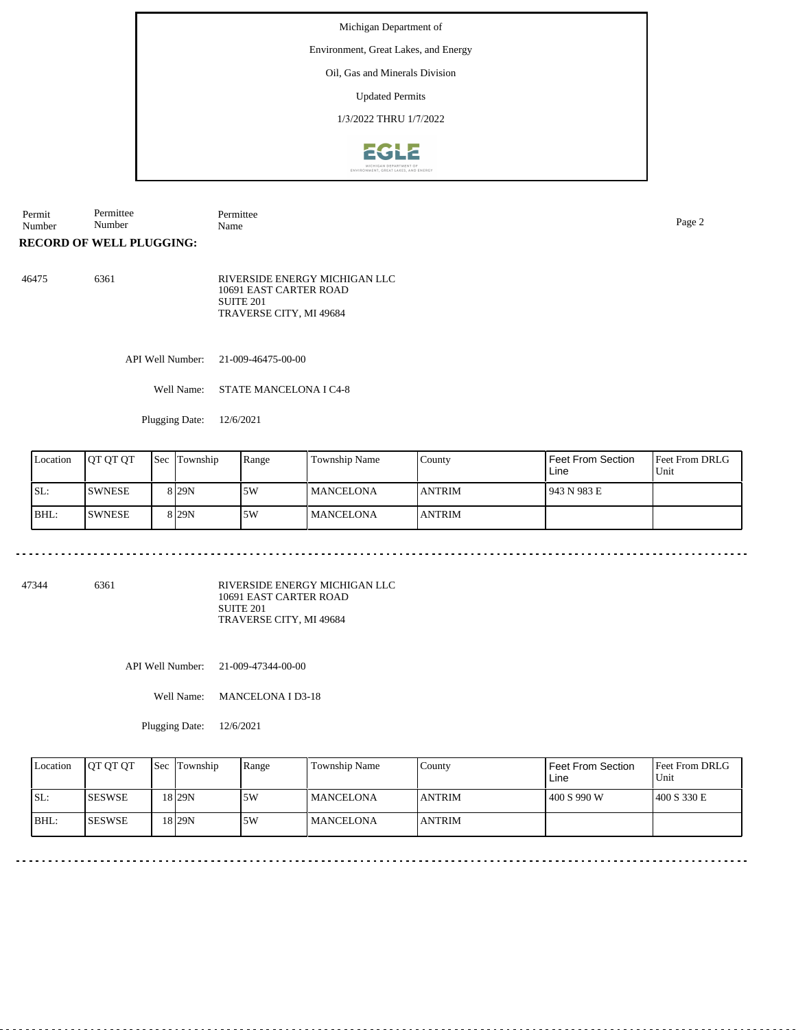Environment, Great Lakes, and Energy

# Oil, Gas and Minerals Division

Updated Permits

1/3/2022 THRU 1/7/2022



Permit Number Permittee Number Permittee Name Page 2

**RECORD OF WELL PLUGGING:**

| 46475 | 6361 | RIVERSIDE ENERGY MICHIGAN LLC<br>10691 EAST CARTER ROAD |
|-------|------|---------------------------------------------------------|
|       |      | SUITE 201                                               |
|       |      | TRAVERSE CITY, MI 49684                                 |

API Well Number: 21-009-46475-00-00

Well Name: STATE MANCELONA I C4-8

Plugging Date: 12/6/2021

| Location | <b>IOT OT OT</b> | <b>Sec</b> Township | Range | <b>Township Name</b> | County         | Feet From Section<br>Line | <b>Feet From DRLG</b><br>Unit |
|----------|------------------|---------------------|-------|----------------------|----------------|---------------------------|-------------------------------|
| SL:      | ISWNESE          | 8 <sub>129N</sub>   | 5W    | <b>MANCELONA</b>     | <b>IANTRIM</b> | 943 N 983 E               |                               |
| BHL:     | <b>SWNESE</b>    | 8 <sub>29N</sub>    | 5W    | MANCELONA            | <b>ANTRIM</b>  |                           |                               |

 $\begin{array}{cccccccccc} \bullet & \bullet & \bullet & \bullet & \bullet & \bullet & \bullet & \bullet \end{array}$ 

47344 6361

RIVERSIDE ENERGY MICHIGAN LLC 10691 EAST CARTER ROAD SUITE 201 TRAVERSE CITY, MI 49684

API Well Number: 21-009-47344-00-00

Well Name: MANCELONA I D3-18

| Location | <b>IOT OT OT</b> | <b>Sec</b> Township | Range | <b>Township Name</b> | County        | <b>Feet From Section</b><br>Line | <b>IFeet From DRLG</b><br>Unit |
|----------|------------------|---------------------|-------|----------------------|---------------|----------------------------------|--------------------------------|
| ISL:     | <b>ISESWSE</b>   | 18 29N              | 5W    | <b>MANCELONA</b>     | <b>ANTRIM</b> | 400 S 990 W                      | 1400 S 330 E                   |
| BHL:     | <b>ISESWSE</b>   | 18 29N              | 5W    | <b>MANCELONA</b>     | <b>ANTRIM</b> |                                  |                                |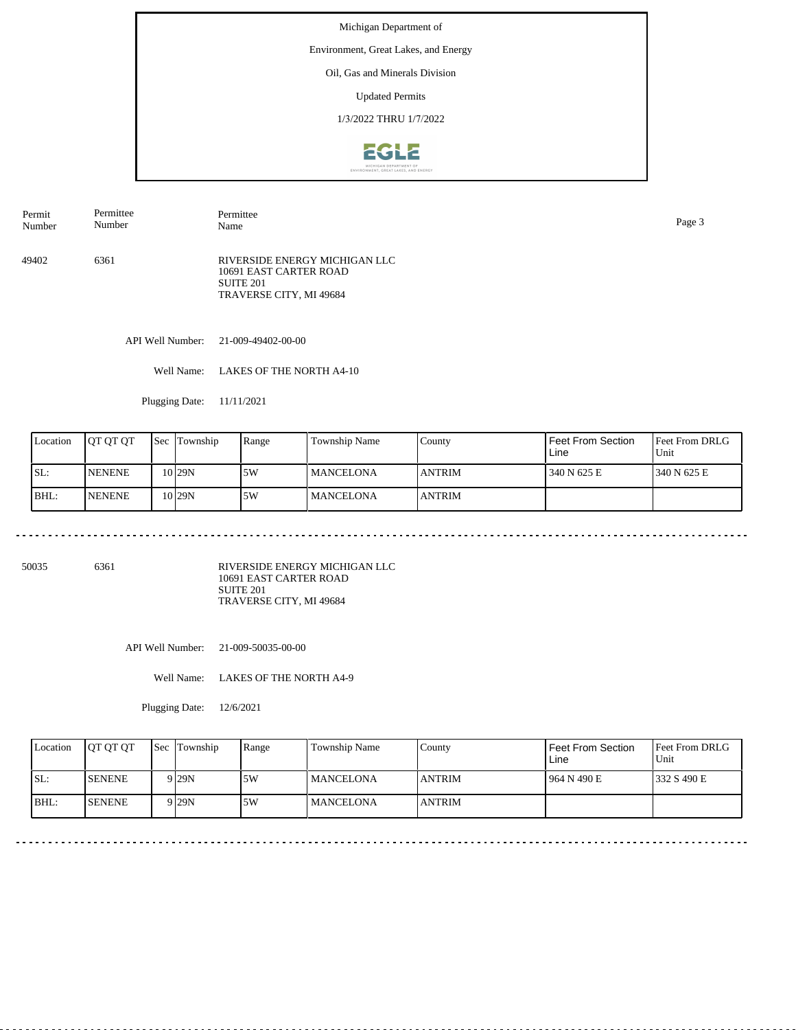Environment, Great Lakes, and Energy

#### Oil, Gas and Minerals Division

Updated Permits

1/3/2022 THRU 1/7/2022



49402 6361 RIVERSIDE ENERGY MICHIGAN LLC 10691 EAST CARTER ROAD SUITE 201 TRAVERSE CITY, MI 49684 Permit Number Permittee Number Permittee Name Page 3

API Well Number: 21-009-49402-00-00

Well Name: LAKES OF THE NORTH A4-10

Plugging Date: 11/11/2021

| Location | IOT OT OT     | <b>Sec</b> | Township          | Range | Township Name    | County        | Feet From Section<br>Line | <b>Feet From DRLG</b><br>Unit |
|----------|---------------|------------|-------------------|-------|------------------|---------------|---------------------------|-------------------------------|
| ISL:     | <b>NENENE</b> |            | 10 <sub>29N</sub> | 5W    | <b>MANCELONA</b> | <b>ANTRIM</b> | 340 N 625 E               | 1340 N 625 E                  |
| BHL:     | <b>NENENE</b> |            | 10 <sub>29N</sub> | 5W    | <b>MANCELONA</b> | <b>ANTRIM</b> |                           |                               |

50035 6361

RIVERSIDE ENERGY MICHIGAN LLC 10691 EAST CARTER ROAD SUITE 201 TRAVERSE CITY, MI 49684

API Well Number: 21-009-50035-00-00

Well Name: LAKES OF THE NORTH A4-9

| Location | <b>OT OT OT</b> | <b>Sec</b> Township | Range | Township Name     | County         | Feet From Section<br>Line | Feet From DRLG<br>Unit |
|----------|-----------------|---------------------|-------|-------------------|----------------|---------------------------|------------------------|
| ISL:     | <b>SENENE</b>   | 9 <sub>29N</sub>    | 5W    | <b>IMANCELONA</b> | <b>LANTRIM</b> | 964 N 490 E               | 1332 S 490 E           |
| BHL:     | <b>ISENENE</b>  | 9 <sub>29N</sub>    | .5W   | <b>IMANCELONA</b> | <b>JANTRIM</b> |                           |                        |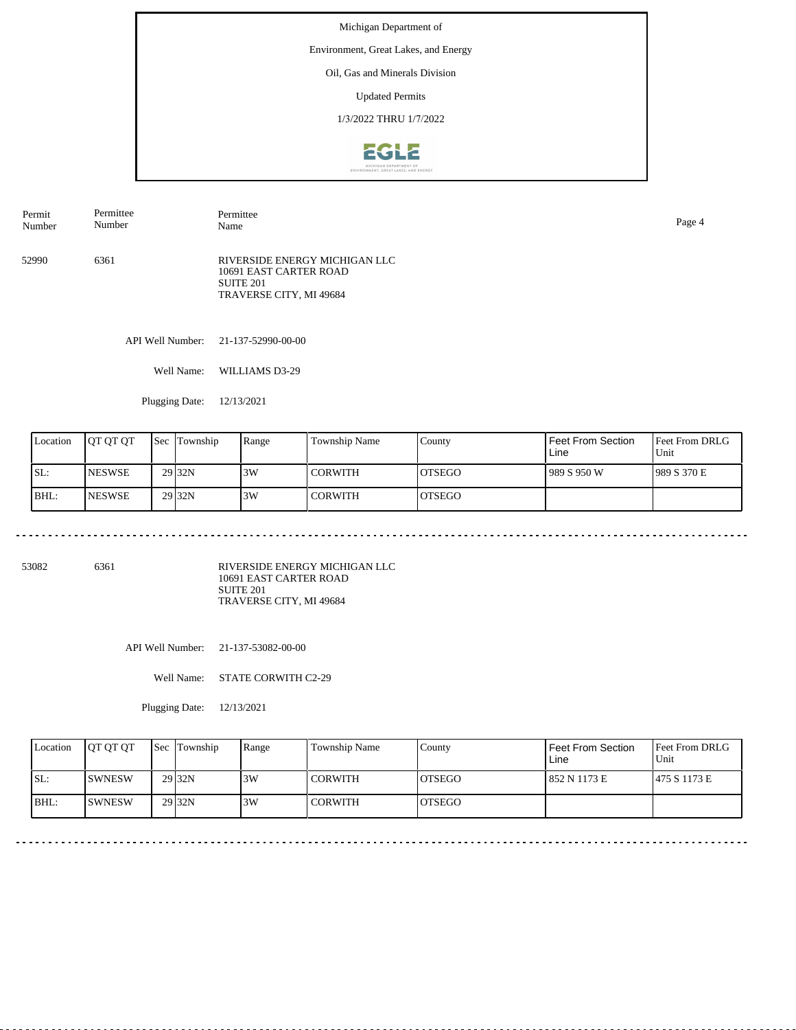Environment, Great Lakes, and Energy

# Oil, Gas and Minerals Division

Updated Permits

1/3/2022 THRU 1/7/2022



52990 6361 RIVERSIDE ENERGY MICHIGAN LLC 10691 EAST CARTER ROAD SUITE 201 TRAVERSE CITY, MI 49684 Permit Number Permittee Number Permittee Name Page 4

API Well Number: 21-137-52990-00-00

Well Name: WILLIAMS D3-29

Plugging Date: 12/13/2021

| Location | <b>JOT OT OT</b> | <b>Sec Township</b> | Range | <b>Township Name</b> | County         | Feet From Section<br>Line | <b>IFeet From DRLG</b><br>Unit |
|----------|------------------|---------------------|-------|----------------------|----------------|---------------------------|--------------------------------|
| SL:      | <b>NESWSE</b>    | 29 <sub>32N</sub>   | 3W    | I CORWITH            | <b>IOTSEGO</b> | 1989 S 950 W              | 989 S 370 E                    |
| BHL:     | <b>NESWSE</b>    | 29 <sub>32N</sub>   | 3W    | l CORWITH            | IOTSEGO        |                           |                                |

53082 6361

RIVERSIDE ENERGY MICHIGAN LLC 10691 EAST CARTER ROAD SUITE 201 TRAVERSE CITY, MI 49684

API Well Number: 21-137-53082-00-00

Well Name: STATE CORWITH C2-29

| Location | <b>IOT OT OT</b> | <b>Sec</b> Township | Range | Township Name  | Countv         | Feet From Section<br>Line | <b>Feet From DRLG</b><br>Unit |
|----------|------------------|---------------------|-------|----------------|----------------|---------------------------|-------------------------------|
| ISL:     | <b>ISWNESW</b>   | 29 <sub>32N</sub>   | 3W    | <b>CORWITH</b> | <b>IOTSEGO</b> | 852 N 1173 E              | 1475 S 1173 E                 |
| BHL:     | <b>ISWNESW</b>   | 29 <sub>32N</sub>   | 3W    | <b>CORWITH</b> | <b>IOTSEGO</b> |                           |                               |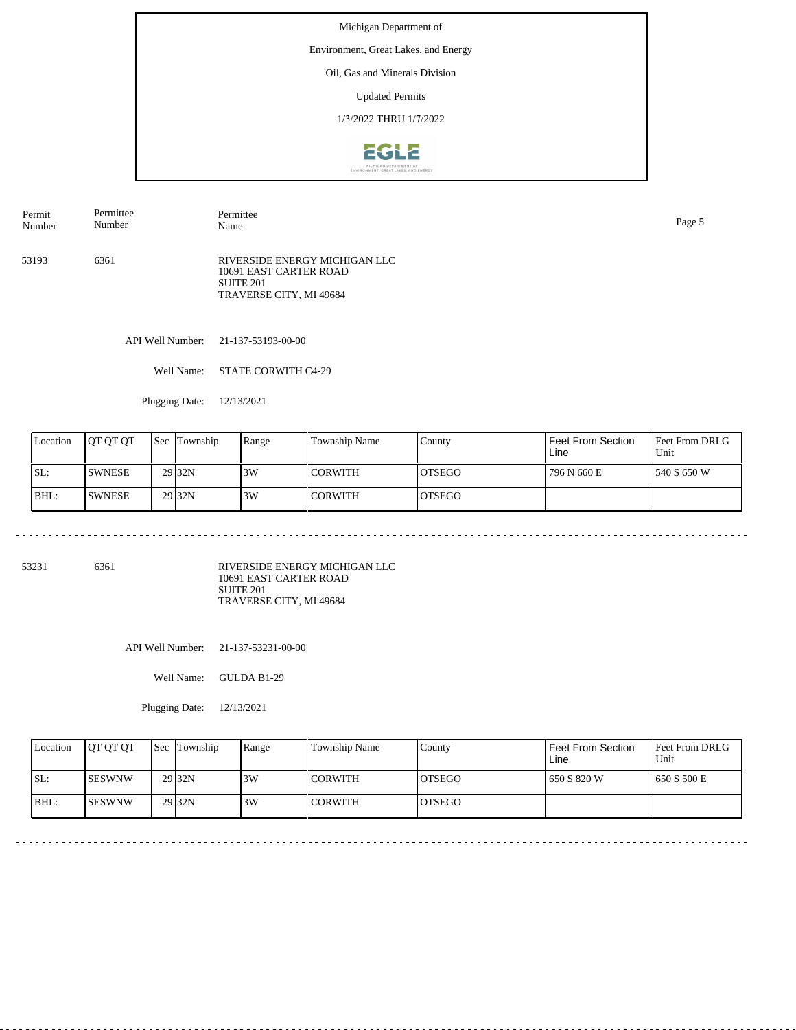Environment, Great Lakes, and Energy

# Oil, Gas and Minerals Division

Updated Permits

1/3/2022 THRU 1/7/2022



53193 6361 RIVERSIDE ENERGY MICHIGAN LLC 10691 EAST CARTER ROAD SUITE 201 TRAVERSE CITY, MI 49684 Permit Number Permittee Number Permittee Name Page 5

API Well Number: 21-137-53193-00-00

Well Name: STATE CORWITH C4-29

Plugging Date: 12/13/2021

| Location | <b>IOT OT OT</b> | <b>Sec Township</b> | Range | <b>Township Name</b> | County         | Feet From Section<br>Line | <b>Feet From DRLG</b><br>Unit |
|----------|------------------|---------------------|-------|----------------------|----------------|---------------------------|-------------------------------|
| ISL:     | <b>SWNESE</b>    | 29 <sub>32N</sub>   | 3W    | l CORWITH            | <b>IOTSEGO</b> | 796 N 660 E               | 1540 S 650 W                  |
| BHL:     | <b>ISWNESE</b>   | 29 <sub>32N</sub>   | 3W    | l CORWITH            | <b>IOTSEGO</b> |                           |                               |

53231 6361

RIVERSIDE ENERGY MICHIGAN LLC 10691 EAST CARTER ROAD SUITE 201 TRAVERSE CITY, MI 49684

API Well Number: 21-137-53231-00-00

Well Name: GULDA B1-29

| Location | <b>IOT OT OT</b> | <b>Sec</b> Township | Range | Township Name  | Countv         | Feet From Section<br>Line | <b>Feet From DRLG</b><br>Unit |
|----------|------------------|---------------------|-------|----------------|----------------|---------------------------|-------------------------------|
| ISL:     | <b>ISESWNW</b>   | 29 <sub>32N</sub>   | 3W    | <b>CORWITH</b> | <b>IOTSEGO</b> | 650 S 820 W               | 1650 S 500 E                  |
| BHL:     | <b>ISESWNW</b>   | 29 <sub>32N</sub>   | 3W    | <b>CORWITH</b> | <b>IOTSEGO</b> |                           |                               |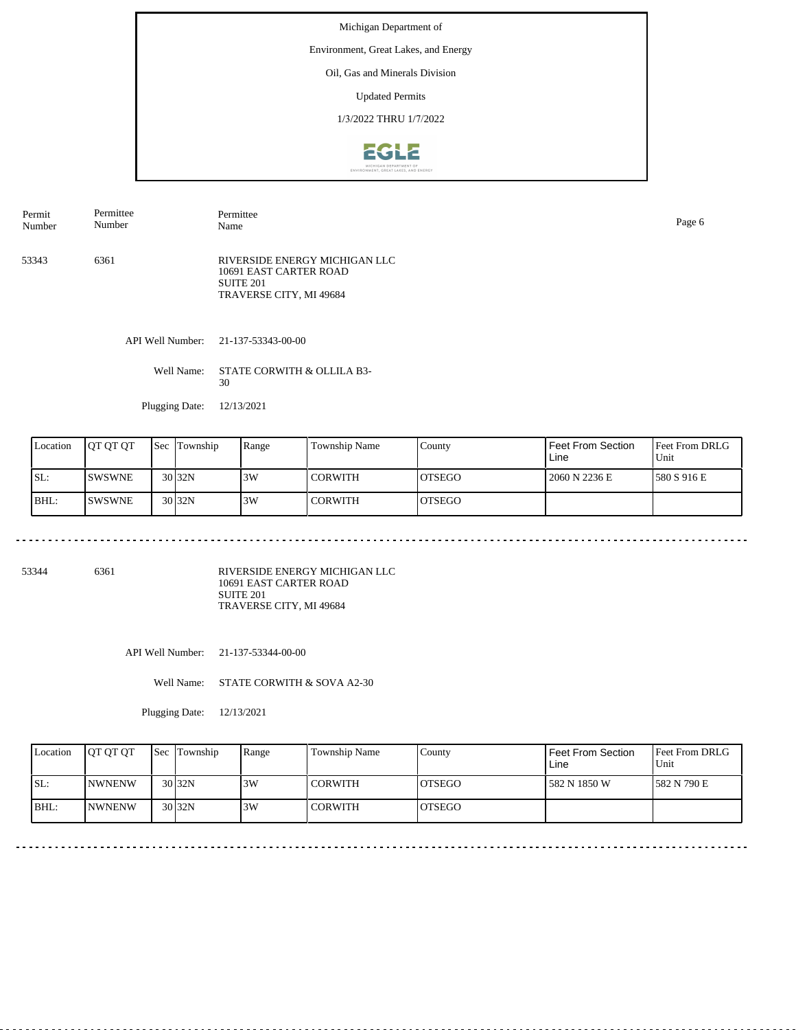Environment, Great Lakes, and Energy

# Oil, Gas and Minerals Division

Updated Permits

1/3/2022 THRU 1/7/2022



53343 6361 RIVERSIDE ENERGY MICHIGAN LLC 10691 EAST CARTER ROAD SUITE 201 TRAVERSE CITY, MI 49684 Permit Number Permittee Number Permittee Name Page 6

API Well Number: 21-137-53343-00-00

Well Name: STATE CORWITH & OLLILA B3-30

Plugging Date: 12/13/2021

| Location | IOT OT OT      | <b>Sec Township</b> | Range | Township Name | County         | Feet From Section<br>Line | <b>Feet From DRLG</b><br>Unit |
|----------|----------------|---------------------|-------|---------------|----------------|---------------------------|-------------------------------|
| ISL:     | <b>ISWSWNE</b> | 30 <sub>32N</sub>   | 3W    | l CORWITH     | IOTSEGO        | 2060 N 2236 E             | 1580 S 916 E                  |
| BHL:     | ISWSWNE        | 30 <sub>32N</sub>   | 3W    | l CORWITH     | <b>IOTSEGO</b> |                           |                               |

53344 6361

RIVERSIDE ENERGY MICHIGAN LLC 10691 EAST CARTER ROAD SUITE 201 TRAVERSE CITY, MI 49684

API Well Number: 21-137-53344-00-00

Well Name: STATE CORWITH & SOVA A2-30

| Location | <b>OT OT OT</b> | Sec Township        | Range | Township Name  | County         | <b>Feet From Section</b><br>Line | Feet From DRLG<br>Unit |
|----------|-----------------|---------------------|-------|----------------|----------------|----------------------------------|------------------------|
| ISL:     | <b>INWNENW</b>  | $30\overline{)32N}$ | 3W    | <b>CORWITH</b> | IOTSEGO        | 582 N 1850 W                     | 1582 N 790 E           |
| BHL:     | <b>INWNENW</b>  | $30\overline{)32N}$ | 3W    | <b>CORWITH</b> | <b>IOTSEGO</b> |                                  |                        |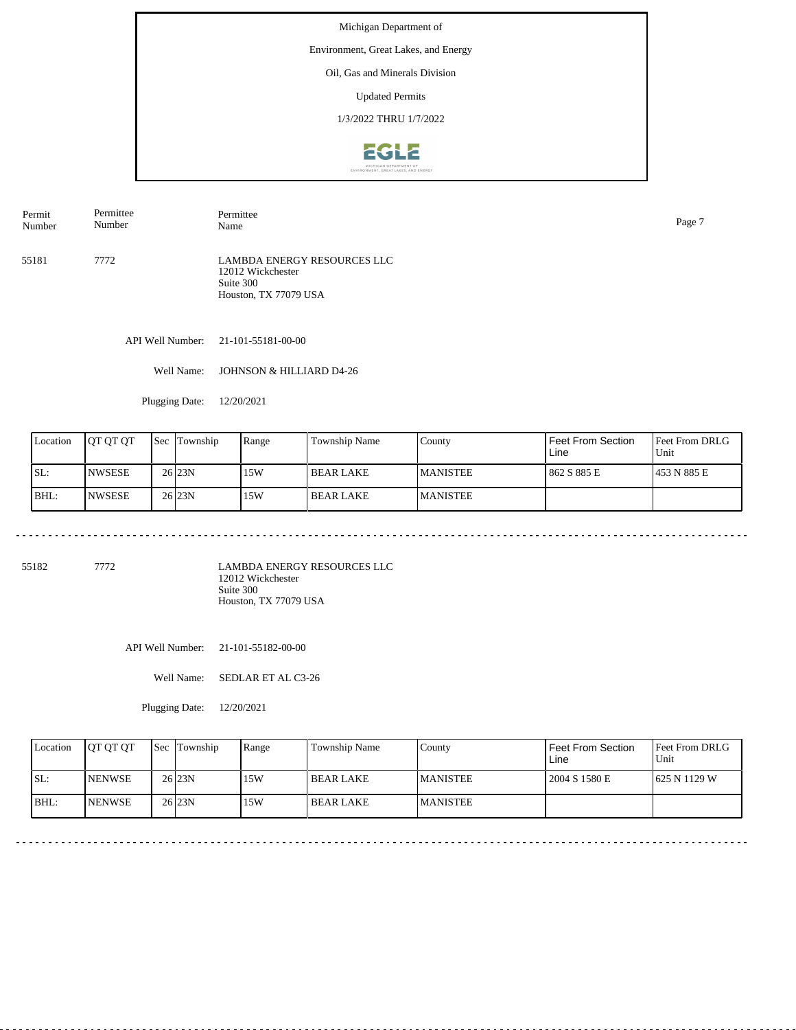Environment, Great Lakes, and Energy

# Oil, Gas and Minerals Division

Updated Permits

1/3/2022 THRU 1/7/2022



55181 7772 LAMBDA ENERGY RESOURCES LLC 12012 Wickchester Suite 300 Permit Number Permittee Number Permittee Name Page 7

API Well Number: 21-101-55181-00-00

Well Name: JOHNSON & HILLIARD D4-26

Houston, TX 77079 USA

Plugging Date: 12/20/2021

| Location | <b>OT OT OT</b> | <b>Sec</b> | Township            | Range | Township Name | County          | Feet From Section<br>Line | <b>Feet From DRLG</b><br>Unit |
|----------|-----------------|------------|---------------------|-------|---------------|-----------------|---------------------------|-------------------------------|
| ISL:     | <b>INWSESE</b>  |            | $26$ <sub>23N</sub> | 15W   | I BEAR LAKE   | <b>MANISTEE</b> | 862 S 885 E               | 1453 N 885 E                  |
| BHL:     | <b>NWSESE</b>   |            | $26$ <sub>23N</sub> | 15W   | I BEAR LAKE   | <b>MANISTEE</b> |                           |                               |

55182 7772

LAMBDA ENERGY RESOURCES LLC 12012 Wickchester Suite 300 Houston, TX 77079 USA

API Well Number: 21-101-55182-00-00

Well Name: SEDLAR ET AL C3-26

| Location | <b>IOT OT OT</b> | Sec Township        | Range | Township Name    | County          | Feet From Section<br>Line | <b>Feet From DRLG</b><br>Unit |
|----------|------------------|---------------------|-------|------------------|-----------------|---------------------------|-------------------------------|
| ISL:     | <b>INENWSE</b>   | $26$ <sub>23N</sub> | 15W   | <b>BEAR LAKE</b> | <b>MANISTEE</b> | 2004 S 1580 E             | 1625 N 1129 W                 |
| BHL:     | <b>INENWSE</b>   | $26$ <sub>23N</sub> | 15W   | BEAR LAKE        | <b>MANISTEE</b> |                           |                               |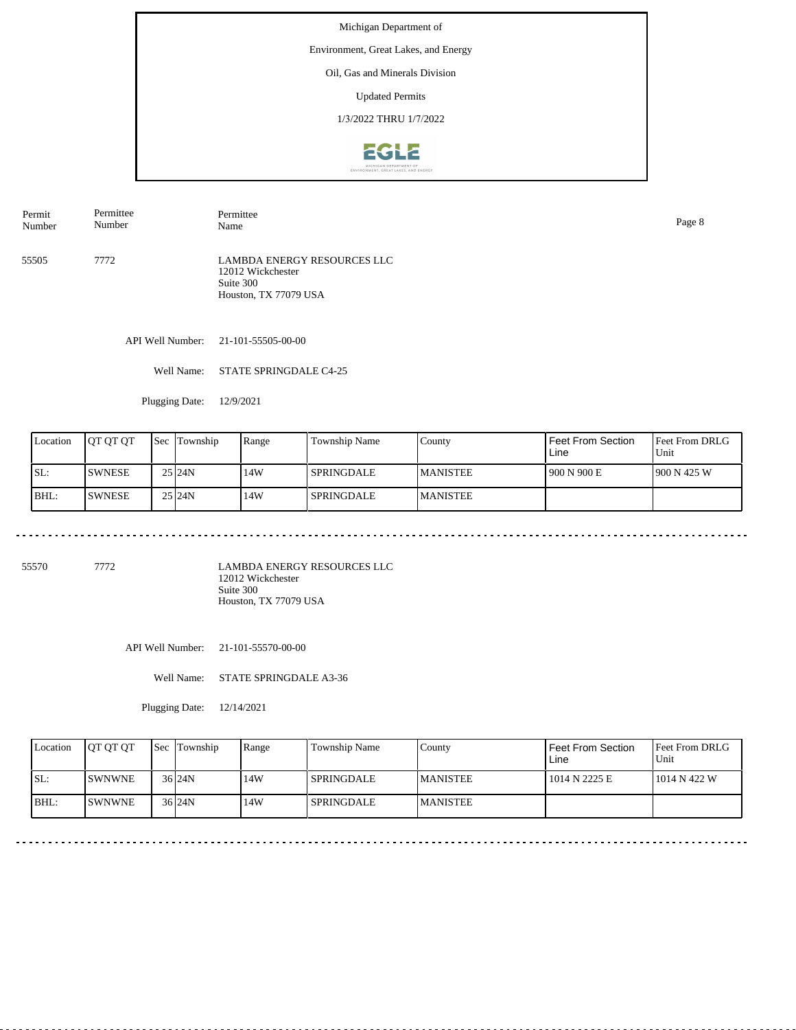Environment, Great Lakes, and Energy

# Oil, Gas and Minerals Division

Updated Permits

1/3/2022 THRU 1/7/2022



Permit Number Permittee Number Permittee Name Page 8

55505 7772 LAMBDA ENERGY RESOURCES LLC 12012 Wickchester Suite 300 Houston, TX 77079 USA

API Well Number: 21-101-55505-00-00

Well Name: STATE SPRINGDALE C4-25

Plugging Date: 12/9/2021

| Location | IOT OT OT     | <b>Sec</b> | Township            | Range | Township Name     | County           | Feet From Section<br>Line | <b>Feet From DRLG</b><br>Unit |
|----------|---------------|------------|---------------------|-------|-------------------|------------------|---------------------------|-------------------------------|
| ISL:     | <b>SWNESE</b> |            | 25 24N              | 14W   | <b>SPRINGDALE</b> | <b>IMANISTEE</b> | 1900 N 900 E              | 1900 N 425 W                  |
| BHL:     | <b>SWNESE</b> |            | $25$ <sub>24N</sub> | 14W   | <b>SPRINGDALE</b> | <b>MANISTEE</b>  |                           |                               |

55570 7772

LAMBDA ENERGY RESOURCES LLC 12012 Wickchester Suite 300 Houston, TX 77079 USA

API Well Number: 21-101-55570-00-00

Well Name: STATE SPRINGDALE A3-36

| Location | <b>IOT OT OT</b> | <b>Sec</b> Township | Range | Township Name     | County          | Feet From Section<br>Line | Feet From DRLG<br>Unit |
|----------|------------------|---------------------|-------|-------------------|-----------------|---------------------------|------------------------|
| SL:      | <b>ISWNWNE</b>   | 36 24N              | 14W   | <b>SPRINGDALE</b> | <b>MANISTEE</b> | 1014 N 2225 E             | 1014 N 422 W           |
| $ BHL$ : | <b>ISWNWNE</b>   | $36$  24N           | 14W   | <b>SPRINGDALE</b> | <b>MANISTEE</b> |                           |                        |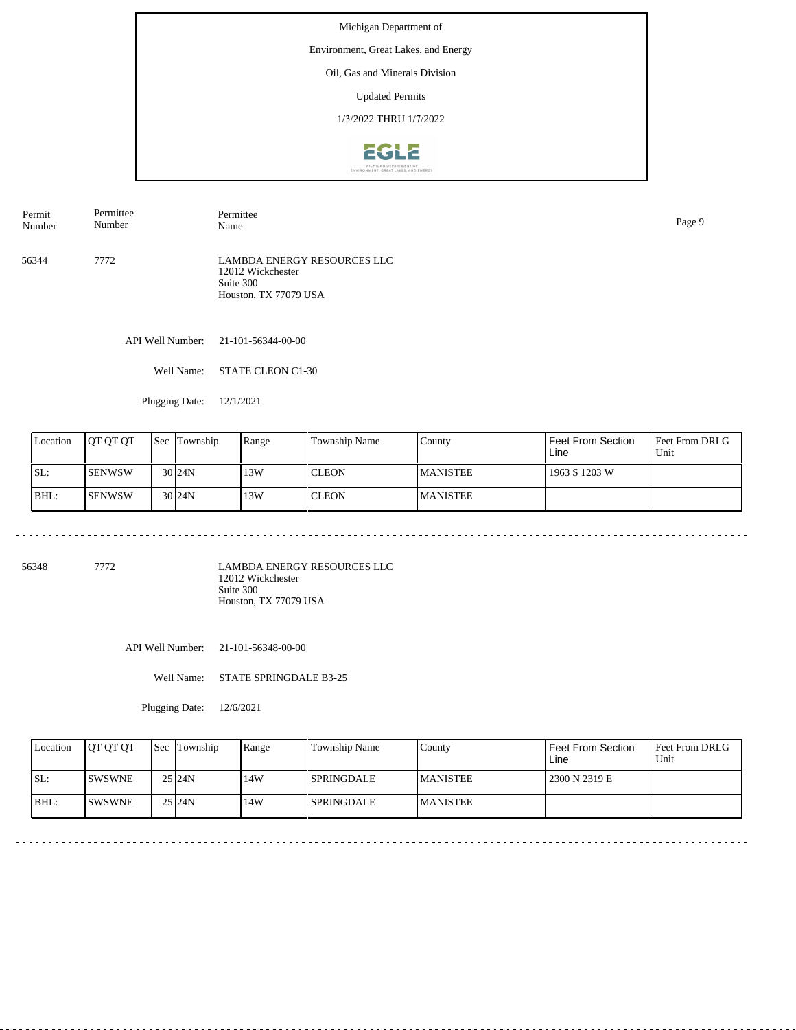Environment, Great Lakes, and Energy

# Oil, Gas and Minerals Division

Updated Permits

1/3/2022 THRU 1/7/2022



56344 7772 LAMBDA ENERGY RESOURCES LLC 12012 Wickchester Permit Number Permittee Number Permittee Name Page 9

Suite 300 Houston, TX 77079 USA

API Well Number: 21-101-56344-00-00

Well Name: STATE CLEON C1-30

Plugging Date: 12/1/2021

| Location | <b>JOT OT OT</b> | <b>Sec</b> | Township    | Range | Township Name | County           | Feet From Section<br>Line | <b>Feet From DRLG</b><br>Unit |
|----------|------------------|------------|-------------|-------|---------------|------------------|---------------------------|-------------------------------|
| ISL:     | <b>SENWSW</b>    |            | $30\,$  24N | 13W   | <b>CLEON</b>  | <b>IMANISTEE</b> | 1963 S 1203 W             |                               |
| BHL:     | <b>SENWSW</b>    |            | $30\,$  24N | 13W   | <b>CLEON</b>  | <b>MANISTEE</b>  |                           |                               |

56348 7772

LAMBDA ENERGY RESOURCES LLC 12012 Wickchester Suite 300 Houston, TX 77079 USA

API Well Number: 21-101-56348-00-00

Well Name: STATE SPRINGDALE B3-25

| Location | <b>IOT OT OT</b> | <b>Sec</b> Township | Range | Township Name     | County           | Feet From Section<br>Line | <b>Feet From DRLG</b><br>Unit |
|----------|------------------|---------------------|-------|-------------------|------------------|---------------------------|-------------------------------|
| SL:      | <b>ISWSWNE</b>   | 25 24N              | 14W   | <b>SPRINGDALE</b> | <b>IMANISTEE</b> | 2300 N 2319 E             |                               |
| $ BHL$ : | <b>ISWSWNE</b>   | 25 24N              | 14W   | <b>SPRINGDALE</b> | <b>MANISTEE</b>  |                           |                               |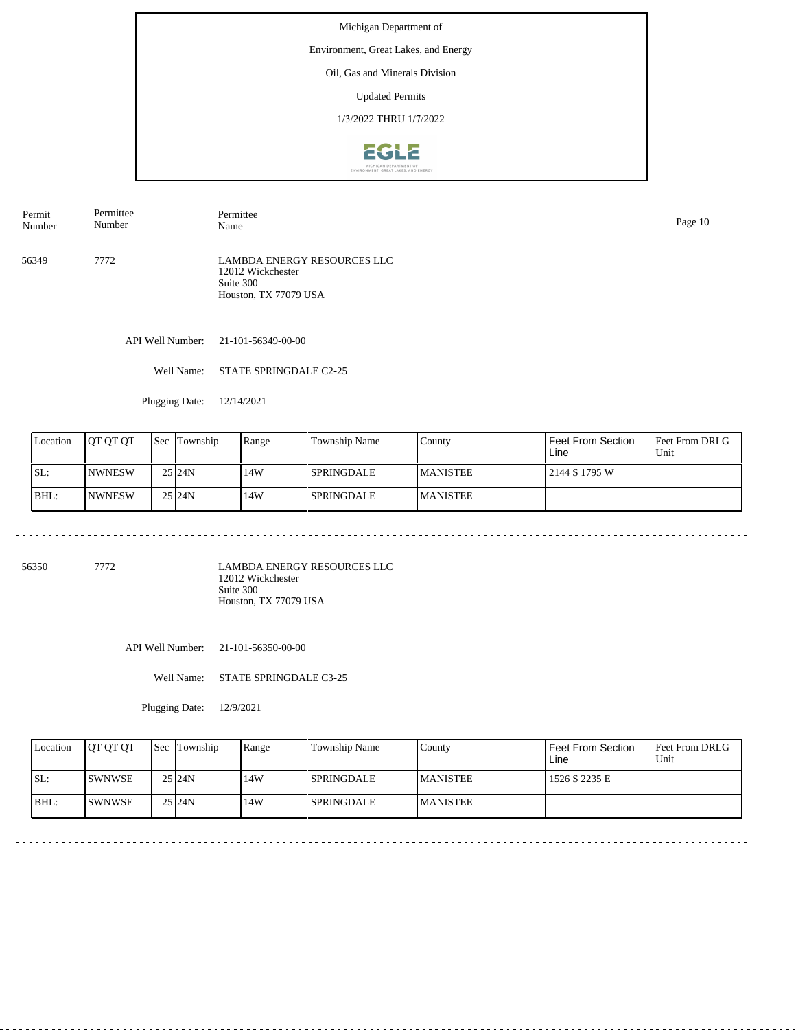Environment, Great Lakes, and Energy

# Oil, Gas and Minerals Division

Updated Permits

1/3/2022 THRU 1/7/2022



56349 7772 Permit Number Permittee Number Permittee Name Page 10

LAMBDA ENERGY RESOURCES LLC 12012 Wickchester Suite 300 Houston, TX 77079 USA

API Well Number: 21-101-56349-00-00

Well Name: STATE SPRINGDALE C2-25

Plugging Date: 12/14/2021

| Location | IOT OT OT      | <b>Sec</b> | Township            | Range | Township Name     | County           | Feet From Section<br>Line | <b>Feet From DRLG</b><br>Unit |
|----------|----------------|------------|---------------------|-------|-------------------|------------------|---------------------------|-------------------------------|
| ISL:     | <b>INWNESW</b> |            | $25$ <sub>24N</sub> | 14W   | <b>SPRINGDALE</b> | <b>IMANISTEE</b> | 2144 S 1795 W             |                               |
| BHL:     | <b>NWNESW</b>  |            | $25$ <sub>24N</sub> | 14W   | SPRINGDALE        | <b>MANISTEE</b>  |                           |                               |

56350 7772

LAMBDA ENERGY RESOURCES LLC 12012 Wickchester Suite 300 Houston, TX 77079 USA

API Well Number: 21-101-56350-00-00

Well Name: STATE SPRINGDALE C3-25

| Location | <b>IOT OT OT</b> | <b>Sec</b> Township | Range | Township Name     | County          | Feet From Section<br>Line | <b>Feet From DRLG</b><br>Unit |
|----------|------------------|---------------------|-------|-------------------|-----------------|---------------------------|-------------------------------|
| SL:      | <b>ISWNWSE</b>   | 25 24N              | 14W   | <b>SPRINGDALE</b> | <b>MANISTEE</b> | 1526 S 2235 E             |                               |
| $ BHL$ : | <b>ISWNWSE</b>   | 25 24N              | 14W   | <b>SPRINGDALE</b> | <b>MANISTEE</b> |                           |                               |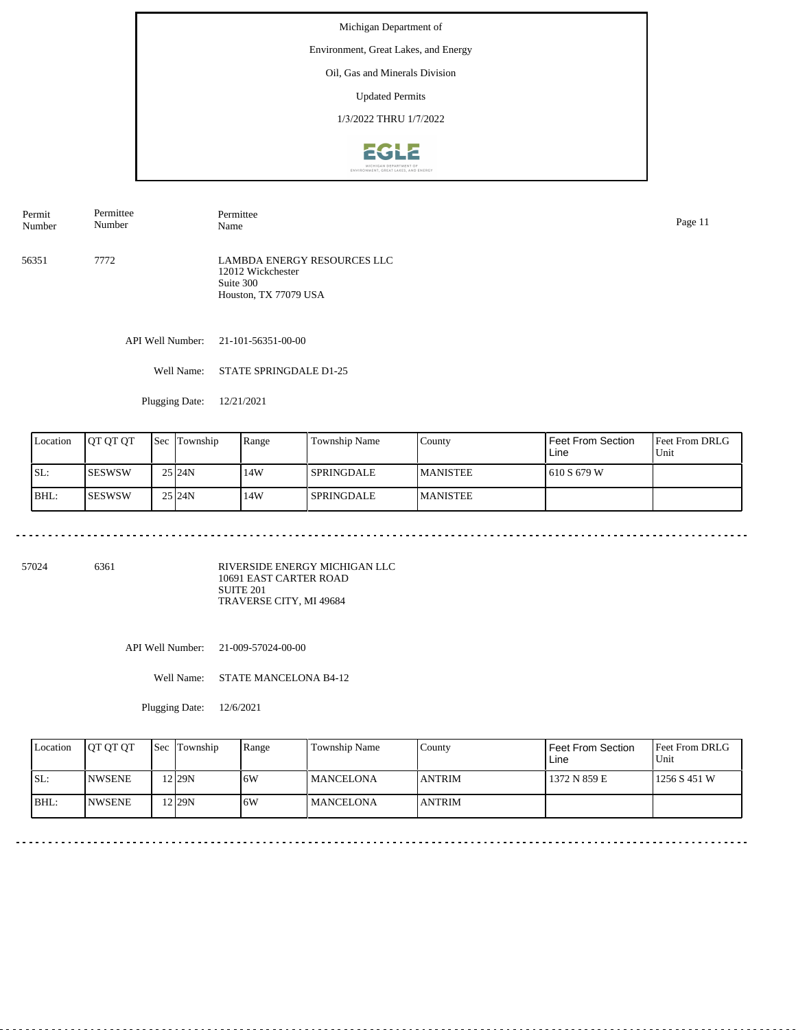Environment, Great Lakes, and Energy

#### Oil, Gas and Minerals Division

Updated Permits

1/3/2022 THRU 1/7/2022



56351 7772 LAMBDA ENERGY RESOURCES LLC Permit Number Permittee Number Permittee Name Page 11

12012 Wickchester Suite 300 Houston, TX 77079 USA

API Well Number: 21-101-56351-00-00

Well Name: STATE SPRINGDALE D1-25

Plugging Date: 12/21/2021

| Location | IOT OT OT     | <b>Sec</b> | Township            | Range | Township Name     | County           | Feet From Section<br>Line | <b>Feet From DRLG</b><br>Unit |
|----------|---------------|------------|---------------------|-------|-------------------|------------------|---------------------------|-------------------------------|
| ISL:     | ISESWSW       |            | $25$ <sub>24N</sub> | 14W   | <b>SPRINGDALE</b> | <b>IMANISTEE</b> | 1610 S 679 W              |                               |
| BHL:     | <b>SESWSW</b> |            | $25$ <sub>24N</sub> | 14W   | SPRINGDALE        | <b>MANISTEE</b>  |                           |                               |

57024 6361

RIVERSIDE ENERGY MICHIGAN LLC 10691 EAST CARTER ROAD SUITE 201 TRAVERSE CITY, MI 49684

API Well Number: 21-009-57024-00-00

Well Name: STATE MANCELONA B4-12

| Location | <b>OT OT OT</b> | Sec Township       | Range | Township Name     | County         | Feet From Section<br>Line | <b>Feet From DRLG</b><br>Unit |
|----------|-----------------|--------------------|-------|-------------------|----------------|---------------------------|-------------------------------|
| ISL:     | <b>INWSENE</b>  | 12 <sub>129N</sub> | .6W   | <b>IMANCELONA</b> | <b>JANTRIM</b> | 1372 N 859 E              | 1256 S 451 W                  |
| BHL:     | <b>INWSENE</b>  | 12 <sub>29N</sub>  | 6W    | <b>IMANCELONA</b> | <b>LANTRIM</b> |                           |                               |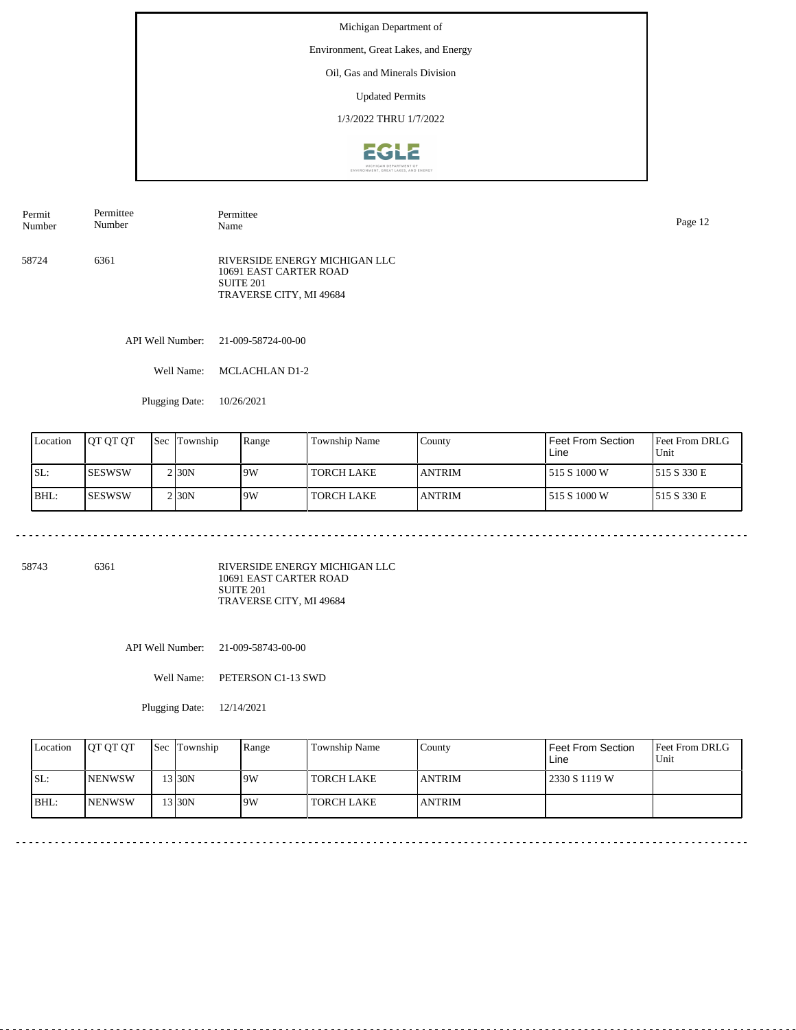Environment, Great Lakes, and Energy

# Oil, Gas and Minerals Division

Updated Permits

1/3/2022 THRU 1/7/2022



58724 6361 RIVERSIDE ENERGY MICHIGAN LLC 10691 EAST CARTER ROAD SUITE 201 TRAVERSE CITY, MI 49684 Permit Number Permittee Number Permittee Name Page 12

API Well Number: 21-009-58724-00-00

Well Name: MCLACHLAN D1-2

Plugging Date: 10/26/2021

| Location | IOT OT OT | Sec | Township            | Range | Township Name     | County         | Feet From Section<br>Line | <b>Feet From DRLG</b><br>Unit |
|----------|-----------|-----|---------------------|-------|-------------------|----------------|---------------------------|-------------------------------|
| SL:      | ISESWSW   |     | $2$ <sub>30</sub> N | 19W   | TORCH LAKE        | <b>JANTRIM</b> | 1515 S 1000 W             | 515 S 330 E                   |
| BHL:     | ISESWSW   |     | $2$ <sub>30</sub> N | 19W   | <b>TORCH LAKE</b> | <b>JANTRIM</b> | 1515 S 1000 W             | 515 S 330 E                   |

58743 6361

RIVERSIDE ENERGY MICHIGAN LLC 10691 EAST CARTER ROAD SUITE 201 TRAVERSE CITY, MI 49684

API Well Number: 21-009-58743-00-00

Well Name: PETERSON C1-13 SWD

| Location | <b>OT OT OT</b> | Sec Township | Range | Township Name     | County         | Feet From Section<br>Line | <b>Feet From DRLG</b><br>Unit |
|----------|-----------------|--------------|-------|-------------------|----------------|---------------------------|-------------------------------|
| ISL:     | <b>INENWSW</b>  | 13 30N       | 19W   | TORCH LAKE        | <b>JANTRIM</b> | 2330 S 1119 W             |                               |
| BHL:     | <b>INENWSW</b>  | $'3$ 30N     | 9W    | <b>TORCH LAKE</b> | <b>JANTRIM</b> |                           |                               |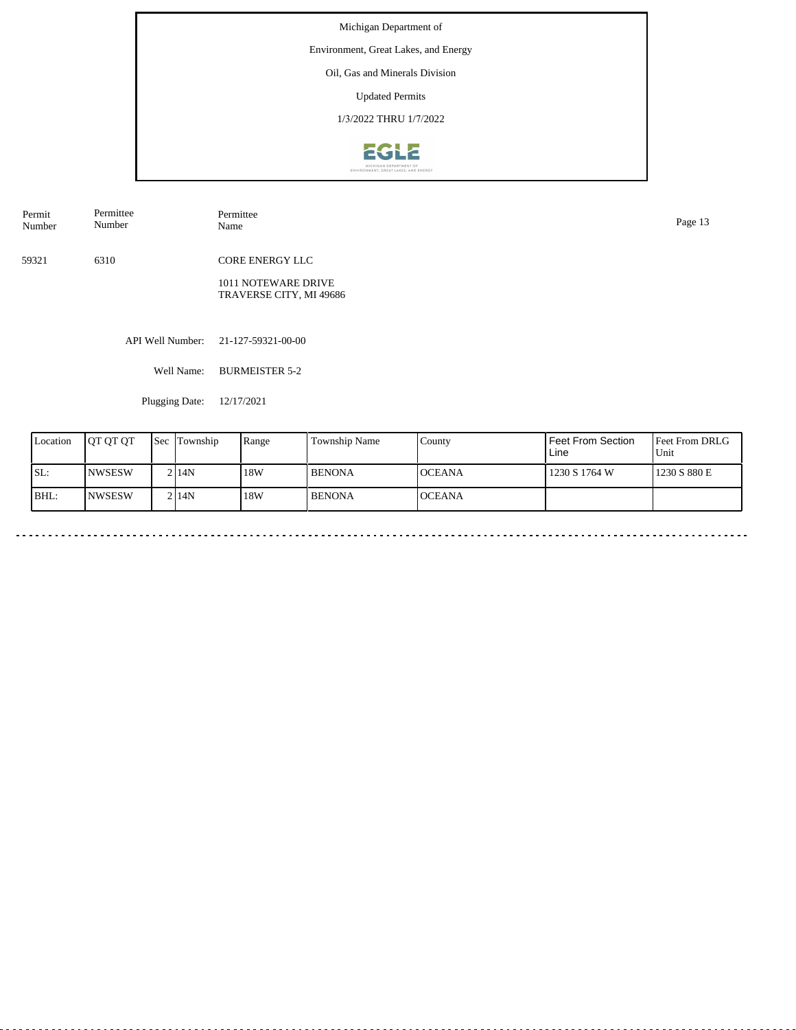Environment, Great Lakes, and Energy

# Oil, Gas and Minerals Division

Updated Permits

1/3/2022 THRU 1/7/2022



| Permit<br>Number | Permittee<br>Number | Permittee<br>Name                              | Page 13 |
|------------------|---------------------|------------------------------------------------|---------|
| 59321            | 6310                | CORE ENERGY LLC                                |         |
|                  |                     | 1011 NOTEWARE DRIVE<br>TRAVERSE CITY, MI 49686 |         |
|                  |                     | API Well Number: 21-127-59321-00-00            |         |
|                  | Well Name:          | <b>BURMEISTER 5-2</b>                          |         |

Plugging Date: 12/17/2021

 $\sim$   $\sim$   $\sim$ 

| Location | <b>OT OT OT</b> | <b>Sec</b> | Township | Range | <b>Township Name</b> | County         | Feet From Section<br>Line | Feet From DRLG<br>Unit |
|----------|-----------------|------------|----------|-------|----------------------|----------------|---------------------------|------------------------|
| SL:      | <b>INWSESW</b>  |            | 2 14N    | 18W   | <b>BENONA</b>        | <b>IOCEANA</b> | 1230 S 1764 W             | 1230 S 880 E           |
| IBHL:    | <b>INWSESW</b>  |            | 2114N    | 18W   | <b>BENONA</b>        | <b>OCEANA</b>  |                           |                        |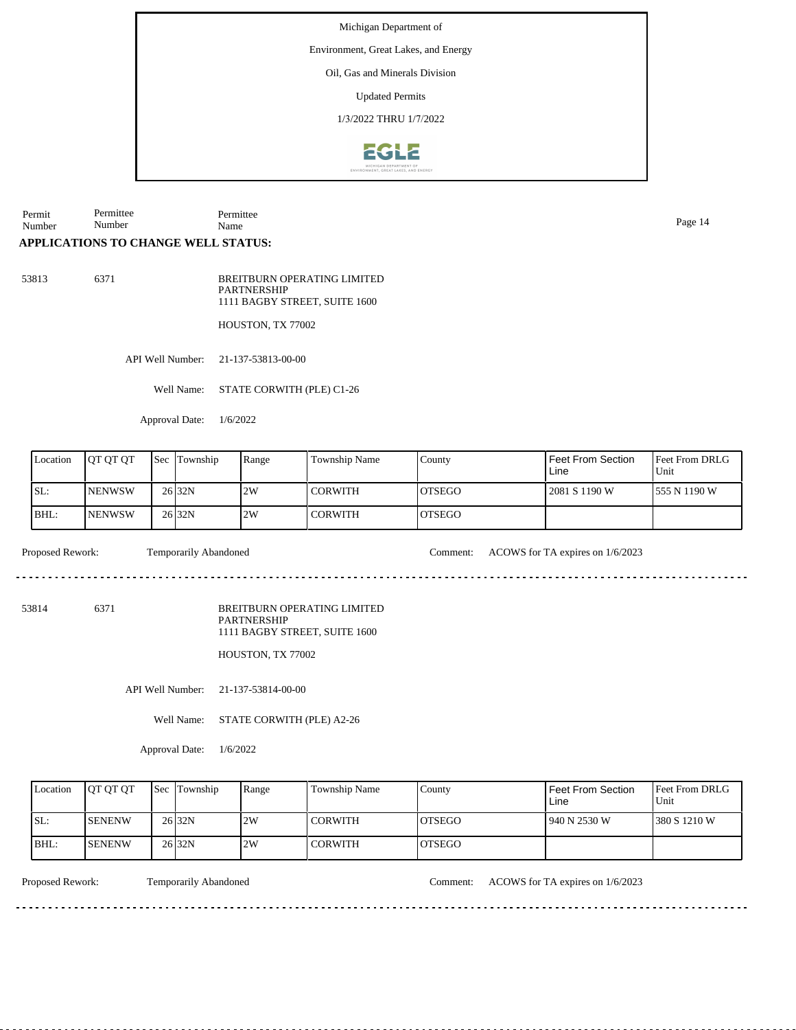Environment, Great Lakes, and Energy

#### Oil, Gas and Minerals Division

Updated Permits

1/3/2022 THRU 1/7/2022



Permit Number Permittee Number Permittee Name Page 14

# **APPLICATIONS TO CHANGE WELL STATUS:**

53813 6371

BREITBURN OPERATING LIMITED **PARTNERSHIP** 1111 BAGBY STREET, SUITE 1600

HOUSTON, TX 77002

API Well Number: 21-137-53813-00-00

Well Name: STATE CORWITH (PLE) C1-26

Approval Date: 1/6/2022

| Location | <b>IOT OT OT</b> | <b>Sec</b> | Township          | Range | <b>Township Name</b> | County         | I Feet From Section<br>Line | <b>Feet From DRLG</b><br>l Unit |
|----------|------------------|------------|-------------------|-------|----------------------|----------------|-----------------------------|---------------------------------|
| SL:      | <b>INENWSW</b>   |            | 26 <sub>32N</sub> | 2W    | I CORWITH            | IOTSEGO        | 2081 S 1190 W               | 1555 N 1190 W                   |
| IBHL:    | <b>INENWSW</b>   |            | 26 <sub>32N</sub> | 2W    | CORWITH              | <b>IOTSEGO</b> |                             |                                 |

Proposed Rework: Temporarily Abandoned Comment: ACOWS for TA expires on 1/6/2023

<u>. . . . . . . . .</u>

dia a a a a

53814 6371

BREITBURN OPERATING LIMITED PARTNERSHIP 1111 BAGBY STREET, SUITE 1600

HOUSTON, TX 77002

API Well Number: 21-137-53814-00-00

Well Name: STATE CORWITH (PLE) A2-26

Approval Date: 1/6/2022

| Location | <b>IOT OT OT</b> | <b>Sec Township</b> | Range | Township Name | County         | Feet From Section<br>Line | Feet From DRLG<br>Unit |
|----------|------------------|---------------------|-------|---------------|----------------|---------------------------|------------------------|
| ISL:     | <b>ISENENW</b>   | 26 <sub>32N</sub>   | 2W    | l CORWITH     | IOTSEGO        | 1940 N 2530 W             | 1380 S 1210 W          |
| BHL:     | <b>ISENENW</b>   | 26 <sub>32N</sub>   | 2W    | l CORWITH     | <b>IOTSEGO</b> |                           |                        |

Proposed Rework: Temporarily Abandoned Comment: ACOWS for TA expires on 1/6/2023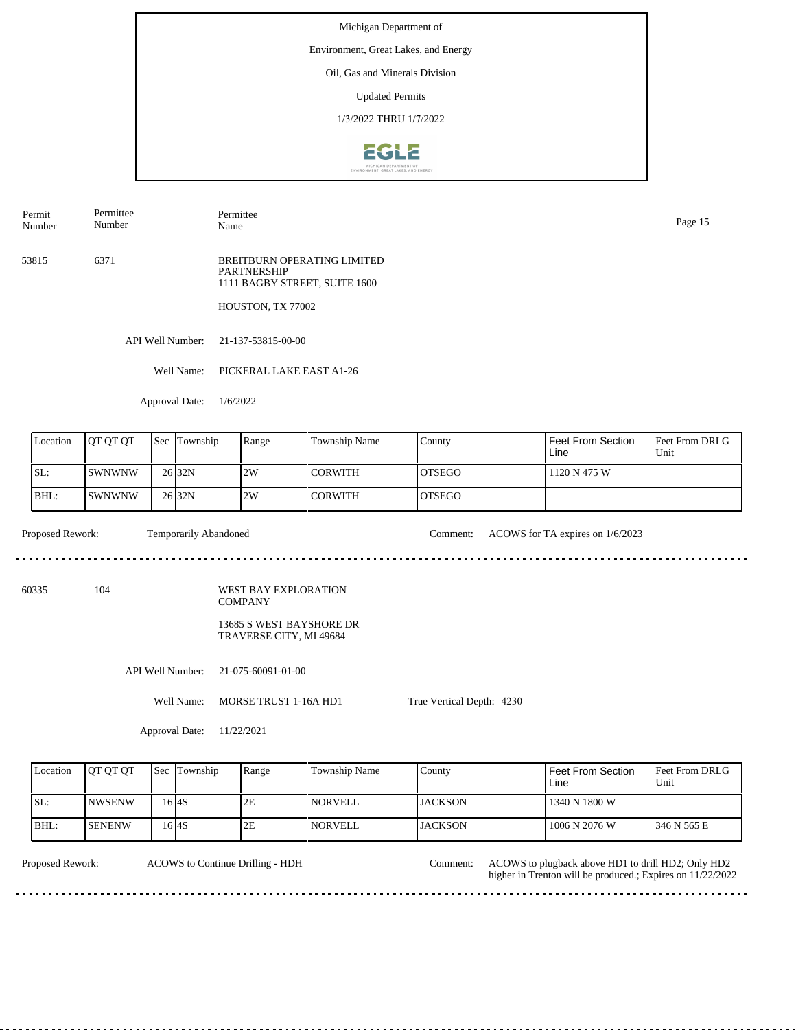Environment, Great Lakes, and Energy

# Oil, Gas and Minerals Division

Updated Permits

1/3/2022 THRU 1/7/2022



Permit Number Permittee Number

Permittee Name Page 15

53815 6371 BREITBURN OPERATING LIMITED PARTNERSHIP 1111 BAGBY STREET, SUITE 1600

HOUSTON, TX 77002

API Well Number: 21-137-53815-00-00

Well Name: PICKERAL LAKE EAST A1-26

Approval Date: 1/6/2022

| Location | <b>OT QT QT</b> | <b>Sec</b> | Township          | Range | Township Name | County         | <b>Feet From Section</b><br>Line | <b>Feet From DRLG</b><br>l Unit |
|----------|-----------------|------------|-------------------|-------|---------------|----------------|----------------------------------|---------------------------------|
| SL:      | ISWNWNW         |            | 26 <sub>32N</sub> | 12W   | I CORWITH     | <b>IOTSEGO</b> | 1120 N 475 W                     |                                 |
| BHL:     | <i>SWNWNW</i>   |            | 26 <sub>32N</sub> | 2W    | CORWITH       | <b>IOTSEGO</b> |                                  |                                 |

<u>. . . . . . . . . .</u>

Proposed Rework: Temporarily Abandoned Comment: ACOWS for TA expires on 1/6/2023

60335 104

WEST BAY EXPLORATION COMPANY

> 13685 S WEST BAYSHORE DR TRAVERSE CITY, MI 49684

API Well Number: 21-075-60091-01-00

Well Name: MORSE TRUST 1-16A HD1

True Vertical Depth: 4230

Approval Date: 11/22/2021

| Location | <b>IOT OT OT</b> | <b>Sec Township</b> | Range | Township Name  | County          | Feet From Section<br>Line | <b>Feet From DRLG</b><br>Unit |
|----------|------------------|---------------------|-------|----------------|-----------------|---------------------------|-------------------------------|
| ISL:     | <b>INWSENW</b>   | 6 <sup>4</sup> S    | 2E    | <b>NORVELL</b> | LJACKSON        | 1340 N 1800 W             |                               |
| BHL:     | <b>ISENENW</b>   | 6 <sup>4</sup> S    | 2E    | NORVELL        | <b>IJACKSON</b> | 1006 N 2076 W             | 1346 N 565 E                  |

. . . . . . . . . . . . . . . . . .

ACOWS to Continue Drilling - HDH

Proposed Rework: ACOWS to plugback above HD1 to drill HD2; Only HD2 Comment: higher in Trenton will be produced.; Expires on 11/22/2022